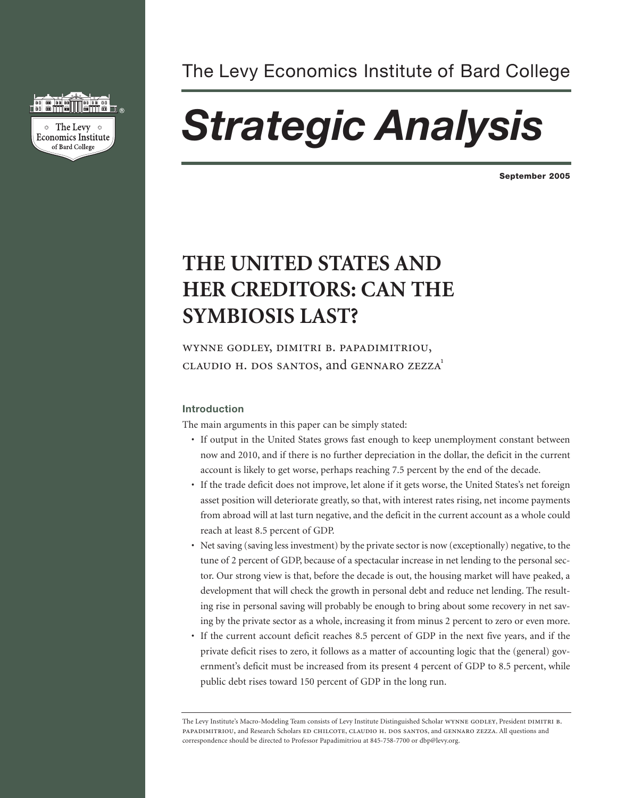

# The Levy Economics Institute of Bard College

# *Strategic Analysis*

**September 2005**

# **THE UNITED STATES AND HER CREDITORS: CAN THE SYMBIOSIS LAST?**

wynne godley, dimitri b. papadimitriou, claudio h. dos santos, and gennaro zezza1

# **Introduction**

The main arguments in this paper can be simply stated:

- If output in the United States grows fast enough to keep unemployment constant between now and 2010, and if there is no further depreciation in the dollar, the deficit in the current account is likely to get worse, perhaps reaching 7.5 percent by the end of the decade.
- If the trade deficit does not improve, let alone if it gets worse, the United States's net foreign asset position will deteriorate greatly, so that, with interest rates rising, net income payments from abroad will at last turn negative, and the deficit in the current account as a whole could reach at least 8.5 percent of GDP.
- Net saving (saving less investment) by the private sector is now (exceptionally) negative, to the tune of 2 percent of GDP, because of a spectacular increase in net lending to the personal sector. Our strong view is that, before the decade is out, the housing market will have peaked, a development that will check the growth in personal debt and reduce net lending. The resulting rise in personal saving will probably be enough to bring about some recovery in net saving by the private sector as a whole, increasing it from minus 2 percent to zero or even more.
- If the current account deficit reaches 8.5 percent of GDP in the next five years, and if the private deficit rises to zero, it follows as a matter of accounting logic that the (general) government's deficit must be increased from its present 4 percent of GDP to 8.5 percent, while public debt rises toward 150 percent of GDP in the long run.

The Levy Institute's Macro-Modeling Team consists of Levy Institute Distinguished Scholar WYNNE GODLEY, President DIMITRI B. papadimitriou, and Research Scholars ed chilcote, claudio h. dos santos, and gennaro zezza. All questions and correspondence should be directed to Professor Papadimitriou at 845-758-7700 or dbp@levy.org.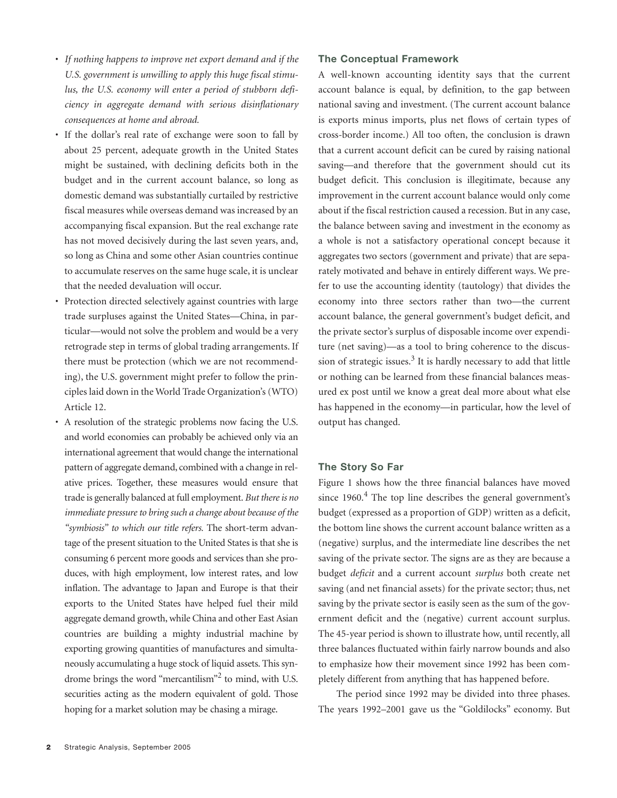- *If nothing happens to improve net export demand and if the U.S. government is unwilling to apply this huge fiscal stimulus, the U.S. economy will enter a period of stubborn deficiency in aggregate demand with serious disinflationary consequences at home and abroad.*
- If the dollar's real rate of exchange were soon to fall by about 25 percent, adequate growth in the United States might be sustained, with declining deficits both in the budget and in the current account balance, so long as domestic demand was substantially curtailed by restrictive fiscal measures while overseas demand was increased by an accompanying fiscal expansion. But the real exchange rate has not moved decisively during the last seven years, and, so long as China and some other Asian countries continue to accumulate reserves on the same huge scale, it is unclear that the needed devaluation will occur.
- Protection directed selectively against countries with large trade surpluses against the United States—China, in particular—would not solve the problem and would be a very retrograde step in terms of global trading arrangements. If there must be protection (which we are not recommending), the U.S. government might prefer to follow the principles laid down in the World Trade Organization's (WTO) Article 12.
- A resolution of the strategic problems now facing the U.S. and world economies can probably be achieved only via an international agreement that would change the international pattern of aggregate demand, combined with a change in relative prices. Together, these measures would ensure that trade is generally balanced at full employment.*But there is no immediate pressure to bring such a change about because of the "symbiosis" to which our title refers.* The short-term advantage of the present situation to the United States is that she is consuming 6 percent more goods and services than she produces, with high employment, low interest rates, and low inflation. The advantage to Japan and Europe is that their exports to the United States have helped fuel their mild aggregate demand growth, while China and other East Asian countries are building a mighty industrial machine by exporting growing quantities of manufactures and simultaneously accumulating a huge stock of liquid assets. This syndrome brings the word "mercantilism"2 to mind, with U.S. securities acting as the modern equivalent of gold. Those hoping for a market solution may be chasing a mirage.

## **The Conceptual Framework**

A well-known accounting identity says that the current account balance is equal, by definition, to the gap between national saving and investment. (The current account balance is exports minus imports, plus net flows of certain types of cross-border income.) All too often, the conclusion is drawn that a current account deficit can be cured by raising national saving—and therefore that the government should cut its budget deficit. This conclusion is illegitimate, because any improvement in the current account balance would only come about if the fiscal restriction caused a recession. But in any case, the balance between saving and investment in the economy as a whole is not a satisfactory operational concept because it aggregates two sectors (government and private) that are separately motivated and behave in entirely different ways. We prefer to use the accounting identity (tautology) that divides the economy into three sectors rather than two—the current account balance, the general government's budget deficit, and the private sector's surplus of disposable income over expenditure (net saving)—as a tool to bring coherence to the discussion of strategic issues.<sup>3</sup> It is hardly necessary to add that little or nothing can be learned from these financial balances measured ex post until we know a great deal more about what else has happened in the economy—in particular, how the level of output has changed.

# **The Story So Far**

Figure 1 shows how the three financial balances have moved since  $1960<sup>4</sup>$ . The top line describes the general government's budget (expressed as a proportion of GDP) written as a deficit, the bottom line shows the current account balance written as a (negative) surplus, and the intermediate line describes the net saving of the private sector. The signs are as they are because a budget *deficit* and a current account *surplus* both create net saving (and net financial assets) for the private sector; thus, net saving by the private sector is easily seen as the sum of the government deficit and the (negative) current account surplus. The 45-year period is shown to illustrate how, until recently, all three balances fluctuated within fairly narrow bounds and also to emphasize how their movement since 1992 has been completely different from anything that has happened before.

The period since 1992 may be divided into three phases. The years 1992–2001 gave us the "Goldilocks" economy. But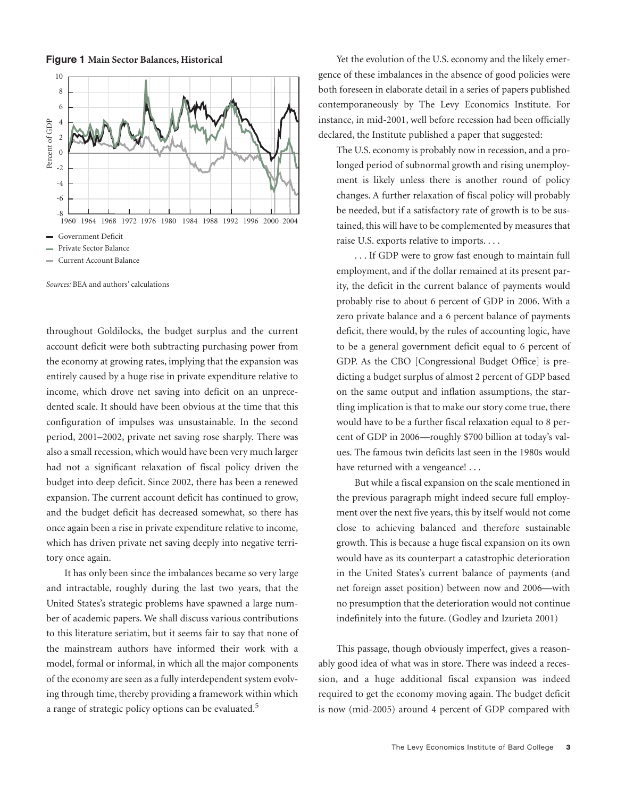**Figure 1 Main Sector Balances, Historical**



*Sources:* BEA and authors' calculations

throughout Goldilocks, the budget surplus and the current account deficit were both subtracting purchasing power from the economy at growing rates, implying that the expansion was entirely caused by a huge rise in private expenditure relative to income, which drove net saving into deficit on an unprecedented scale. It should have been obvious at the time that this configuration of impulses was unsustainable. In the second period, 2001–2002, private net saving rose sharply. There was also a small recession, which would have been very much larger had not a significant relaxation of fiscal policy driven the budget into deep deficit. Since 2002, there has been a renewed expansion. The current account deficit has continued to grow, and the budget deficit has decreased somewhat, so there has once again been a rise in private expenditure relative to income, which has driven private net saving deeply into negative territory once again.

It has only been since the imbalances became so very large and intractable, roughly during the last two years, that the United States's strategic problems have spawned a large number of academic papers. We shall discuss various contributions to this literature seriatim, but it seems fair to say that none of the mainstream authors have informed their work with a model, formal or informal, in which all the major components of the economy are seen as a fully interdependent system evolving through time, thereby providing a framework within which a range of strategic policy options can be evaluated.<sup>5</sup>

Yet the evolution of the U.S. economy and the likely emergence of these imbalances in the absence of good policies were both foreseen in elaborate detail in a series of papers published contemporaneously by The Levy Economics Institute. For instance, in mid-2001, well before recession had been officially declared, the Institute published a paper that suggested:

The U.S. economy is probably now in recession, and a prolonged period of subnormal growth and rising unemployment is likely unless there is another round of policy changes. A further relaxation of fiscal policy will probably be needed, but if a satisfactory rate of growth is to be sustained, this will have to be complemented by measures that raise U.S. exports relative to imports....

. . . If GDP were to grow fast enough to maintain full employment, and if the dollar remained at its present parity, the deficit in the current balance of payments would probably rise to about 6 percent of GDP in 2006. With a zero private balance and a 6 percent balance of payments deficit, there would, by the rules of accounting logic, have to be a general government deficit equal to 6 percent of GDP. As the CBO [Congressional Budget Office] is predicting a budget surplus of almost 2 percent of GDP based on the same output and inflation assumptions, the startling implication is that to make our story come true, there would have to be a further fiscal relaxation equal to 8 percent of GDP in 2006—roughly \$700 billion at today's values. The famous twin deficits last seen in the 1980s would have returned with a vengeance!...

But while a fiscal expansion on the scale mentioned in the previous paragraph might indeed secure full employment over the next five years, this by itself would not come close to achieving balanced and therefore sustainable growth. This is because a huge fiscal expansion on its own would have as its counterpart a catastrophic deterioration in the United States's current balance of payments (and net foreign asset position) between now and 2006—with no presumption that the deterioration would not continue indefinitely into the future. (Godley and Izurieta 2001)

This passage, though obviously imperfect, gives a reasonably good idea of what was in store. There was indeed a recession, and a huge additional fiscal expansion was indeed required to get the economy moving again. The budget deficit is now (mid-2005) around 4 percent of GDP compared with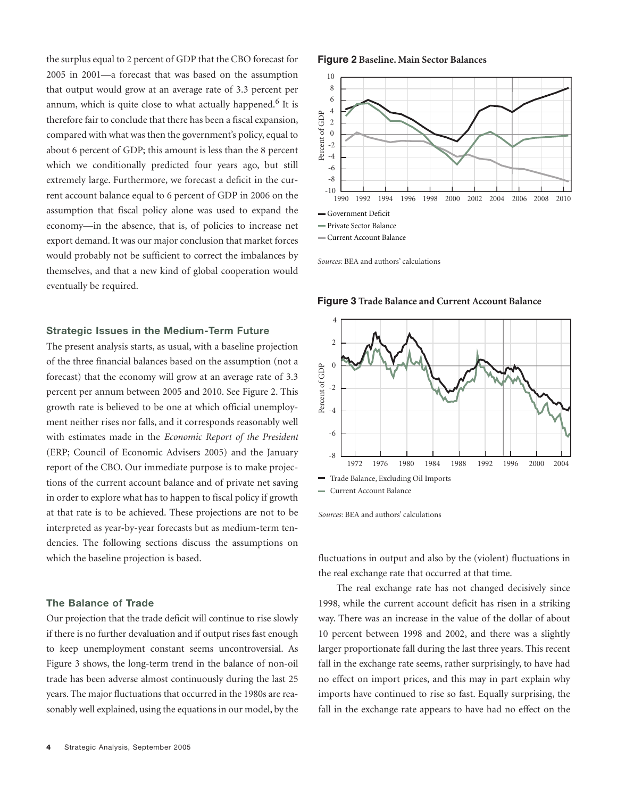the surplus equal to 2 percent of GDP that the CBO forecast for 2005 in 2001—a forecast that was based on the assumption that output would grow at an average rate of 3.3 percent per annum, which is quite close to what actually happened.<sup>6</sup> It is therefore fair to conclude that there has been a fiscal expansion, compared with what was then the government's policy, equal to about 6 percent of GDP; this amount is less than the 8 percent which we conditionally predicted four years ago, but still extremely large. Furthermore, we forecast a deficit in the current account balance equal to 6 percent of GDP in 2006 on the assumption that fiscal policy alone was used to expand the economy—in the absence, that is, of policies to increase net export demand. It was our major conclusion that market forces would probably not be sufficient to correct the imbalances by themselves, and that a new kind of global cooperation would eventually be required.

# **Strategic Issues in the Medium-Term Future**

The present analysis starts, as usual, with a baseline projection of the three financial balances based on the assumption (not a forecast) that the economy will grow at an average rate of 3.3 percent per annum between 2005 and 2010. See Figure 2. This growth rate is believed to be one at which official unemployment neither rises nor falls, and it corresponds reasonably well with estimates made in the *Economic Report of the President* (ERP; Council of Economic Advisers 2005) and the January report of the CBO. Our immediate purpose is to make projections of the current account balance and of private net saving in order to explore what has to happen to fiscal policy if growth at that rate is to be achieved. These projections are not to be interpreted as year-by-year forecasts but as medium-term tendencies. The following sections discuss the assumptions on which the baseline projection is based.

# **The Balance of Trade**

Our projection that the trade deficit will continue to rise slowly if there is no further devaluation and if output rises fast enough to keep unemployment constant seems uncontroversial. As Figure 3 shows, the long-term trend in the balance of non-oil trade has been adverse almost continuously during the last 25 years. The major fluctuations that occurred in the 1980s are reasonably well explained, using the equations in our model, by the

#### **Figure 2 Baseline. Main Sector Balances**



*Sources:* BEA and authors' calculations



**Figure 3 Trade Balance and Current Account Balance**

*Sources:* BEA and authors' calculations

fluctuations in output and also by the (violent) fluctuations in the real exchange rate that occurred at that time.

The real exchange rate has not changed decisively since 1998, while the current account deficit has risen in a striking way. There was an increase in the value of the dollar of about 10 percent between 1998 and 2002, and there was a slightly larger proportionate fall during the last three years. This recent fall in the exchange rate seems, rather surprisingly, to have had no effect on import prices, and this may in part explain why imports have continued to rise so fast. Equally surprising, the fall in the exchange rate appears to have had no effect on the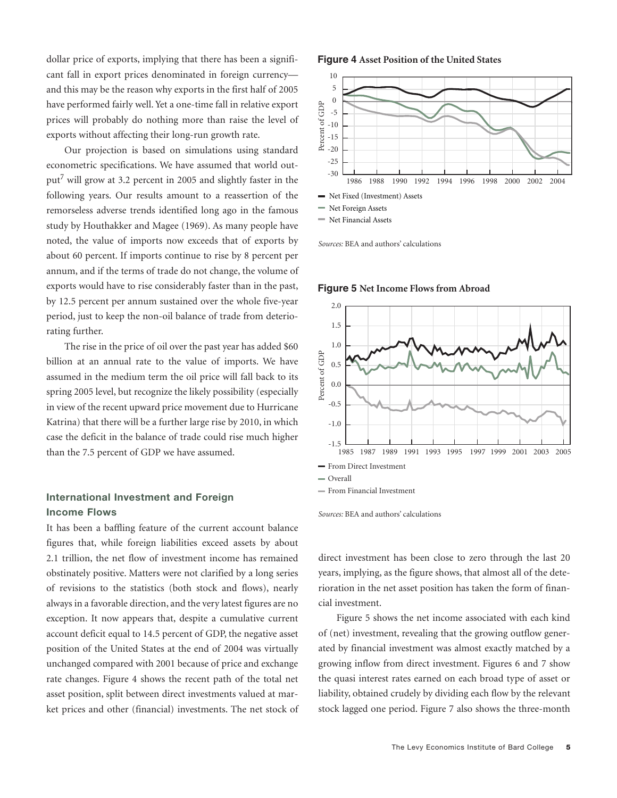dollar price of exports, implying that there has been a significant fall in export prices denominated in foreign currency and this may be the reason why exports in the first half of 2005 have performed fairly well. Yet a one-time fall in relative export prices will probably do nothing more than raise the level of exports without affecting their long-run growth rate.

Our projection is based on simulations using standard econometric specifications. We have assumed that world output7 will grow at 3.2 percent in 2005 and slightly faster in the following years. Our results amount to a reassertion of the remorseless adverse trends identified long ago in the famous study by Houthakker and Magee (1969). As many people have noted, the value of imports now exceeds that of exports by about 60 percent. If imports continue to rise by 8 percent per annum, and if the terms of trade do not change, the volume of exports would have to rise considerably faster than in the past, by 12.5 percent per annum sustained over the whole five-year period, just to keep the non-oil balance of trade from deteriorating further.

The rise in the price of oil over the past year has added \$60 billion at an annual rate to the value of imports. We have assumed in the medium term the oil price will fall back to its spring 2005 level, but recognize the likely possibility (especially in view of the recent upward price movement due to Hurricane Katrina) that there will be a further large rise by 2010, in which case the deficit in the balance of trade could rise much higher than the 7.5 percent of GDP we have assumed.

# **International Investment and Foreign Income Flows**

It has been a baffling feature of the current account balance figures that, while foreign liabilities exceed assets by about 2.1 trillion, the net flow of investment income has remained obstinately positive. Matters were not clarified by a long series of revisions to the statistics (both stock and flows), nearly always in a favorable direction, and the very latest figures are no exception. It now appears that, despite a cumulative current account deficit equal to 14.5 percent of GDP, the negative asset position of the United States at the end of 2004 was virtually unchanged compared with 2001 because of price and exchange rate changes. Figure 4 shows the recent path of the total net asset position, split between direct investments valued at market prices and other (financial) investments. The net stock of

#### **Figure 4 Asset Position of the United States**



*Sources:* BEA and authors' calculations



**Figure 5 Net Income Flows from Abroad**

*Sources:* BEA and authors' calculations

direct investment has been close to zero through the last 20 years, implying, as the figure shows, that almost all of the deterioration in the net asset position has taken the form of financial investment.

Figure 5 shows the net income associated with each kind of (net) investment, revealing that the growing outflow generated by financial investment was almost exactly matched by a growing inflow from direct investment. Figures 6 and 7 show the quasi interest rates earned on each broad type of asset or liability, obtained crudely by dividing each flow by the relevant stock lagged one period. Figure 7 also shows the three-month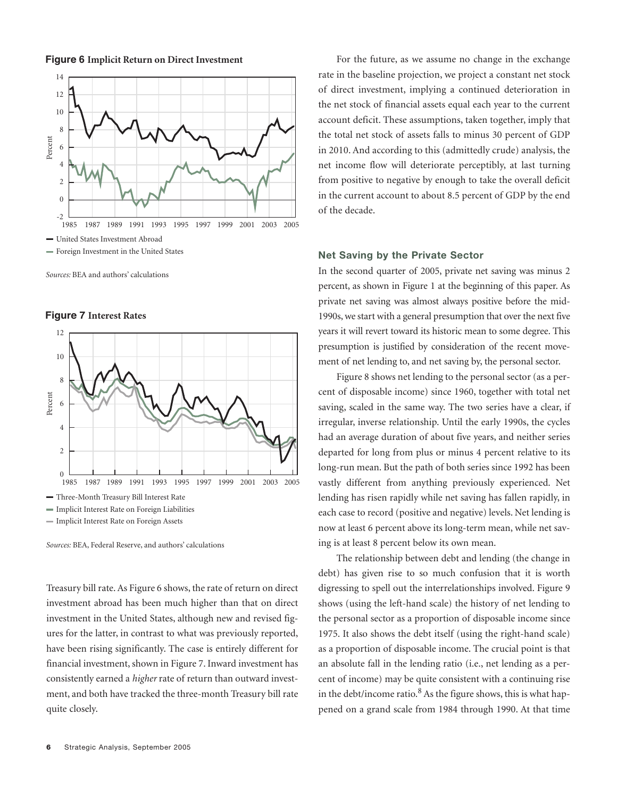**Figure 6 Implicit Return on Direct Investment**



*Sources:* BEA and authors' calculations





Treasury bill rate. As Figure 6 shows, the rate of return on direct investment abroad has been much higher than that on direct investment in the United States, although new and revised figures for the latter, in contrast to what was previously reported, have been rising significantly. The case is entirely different for financial investment, shown in Figure 7. Inward investment has consistently earned a *higher* rate of return than outward investment, and both have tracked the three-month Treasury bill rate quite closely.

For the future, as we assume no change in the exchange rate in the baseline projection, we project a constant net stock of direct investment, implying a continued deterioration in the net stock of financial assets equal each year to the current account deficit. These assumptions, taken together, imply that the total net stock of assets falls to minus 30 percent of GDP in 2010. And according to this (admittedly crude) analysis, the net income flow will deteriorate perceptibly, at last turning from positive to negative by enough to take the overall deficit in the current account to about 8.5 percent of GDP by the end of the decade.

# **Net Saving by the Private Sector**

In the second quarter of 2005, private net saving was minus 2 percent, as shown in Figure 1 at the beginning of this paper. As private net saving was almost always positive before the mid-1990s, we start with a general presumption that over the next five years it will revert toward its historic mean to some degree. This presumption is justified by consideration of the recent movement of net lending to, and net saving by, the personal sector.

Figure 8 shows net lending to the personal sector (as a percent of disposable income) since 1960, together with total net saving, scaled in the same way. The two series have a clear, if irregular, inverse relationship. Until the early 1990s, the cycles had an average duration of about five years, and neither series departed for long from plus or minus 4 percent relative to its long-run mean. But the path of both series since 1992 has been vastly different from anything previously experienced. Net lending has risen rapidly while net saving has fallen rapidly, in each case to record (positive and negative) levels. Net lending is now at least 6 percent above its long-term mean, while net saving is at least 8 percent below its own mean.

The relationship between debt and lending (the change in debt) has given rise to so much confusion that it is worth digressing to spell out the interrelationships involved. Figure 9 shows (using the left-hand scale) the history of net lending to the personal sector as a proportion of disposable income since 1975. It also shows the debt itself (using the right-hand scale) as a proportion of disposable income. The crucial point is that an absolute fall in the lending ratio (i.e., net lending as a percent of income) may be quite consistent with a continuing rise in the debt/income ratio. $8$  As the figure shows, this is what happened on a grand scale from 1984 through 1990. At that time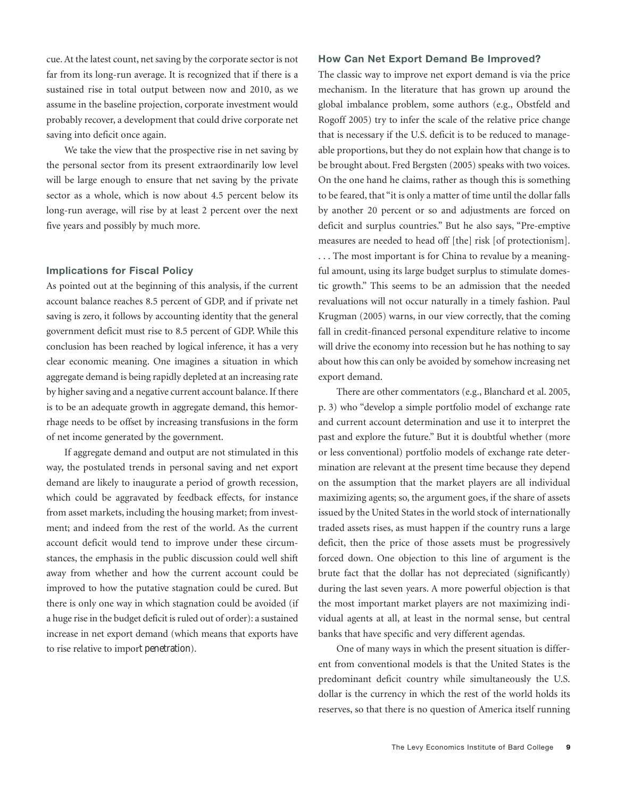cue. At the latest count, net saving by the corporate sector is not far from its long-run average. It is recognized that if there is a sustained rise in total output between now and 2010, as we assume in the baseline projection, corporate investment would probably recover, a development that could drive corporate net saving into deficit once again.

We take the view that the prospective rise in net saving by the personal sector from its present extraordinarily low level will be large enough to ensure that net saving by the private sector as a whole, which is now about 4.5 percent below its long-run average, will rise by at least 2 percent over the next five years and possibly by much more.

# **Implications for Fiscal Policy**

As pointed out at the beginning of this analysis, if the current account balance reaches 8.5 percent of GDP, and if private net saving is zero, it follows by accounting identity that the general government deficit must rise to 8.5 percent of GDP. While this conclusion has been reached by logical inference, it has a very clear economic meaning. One imagines a situation in which aggregate demand is being rapidly depleted at an increasing rate by higher saving and a negative current account balance. If there is to be an adequate growth in aggregate demand, this hemorrhage needs to be offset by increasing transfusions in the form of net income generated by the government.

If aggregate demand and output are not stimulated in this way, the postulated trends in personal saving and net export demand are likely to inaugurate a period of growth recession, which could be aggravated by feedback effects, for instance from asset markets, including the housing market; from investment; and indeed from the rest of the world. As the current account deficit would tend to improve under these circumstances, the emphasis in the public discussion could well shift away from whether and how the current account could be improved to how the putative stagnation could be cured. But there is only one way in which stagnation could be avoided (if a huge rise in the budget deficit is ruled out of order): a sustained increase in net export demand (which means that exports have to rise relative to import penetration).

## **How Can Net Export Demand Be Improved?**

The classic way to improve net export demand is via the price mechanism. In the literature that has grown up around the global imbalance problem, some authors (e.g., Obstfeld and Rogoff 2005) try to infer the scale of the relative price change that is necessary if the U.S. deficit is to be reduced to manageable proportions, but they do not explain how that change is to be brought about. Fred Bergsten (2005) speaks with two voices. On the one hand he claims, rather as though this is something to be feared, that "it is only a matter of time until the dollar falls by another 20 percent or so and adjustments are forced on deficit and surplus countries." But he also says, "Pre-emptive measures are needed to head off [the] risk [of protectionism]. . . . The most important is for China to revalue by a meaningful amount, using its large budget surplus to stimulate domestic growth." This seems to be an admission that the needed revaluations will not occur naturally in a timely fashion. Paul Krugman (2005) warns, in our view correctly, that the coming fall in credit-financed personal expenditure relative to income will drive the economy into recession but he has nothing to say about how this can only be avoided by somehow increasing net export demand.

There are other commentators (e.g., Blanchard et al. 2005, p. 3) who "develop a simple portfolio model of exchange rate and current account determination and use it to interpret the past and explore the future." But it is doubtful whether (more or less conventional) portfolio models of exchange rate determination are relevant at the present time because they depend on the assumption that the market players are all individual maximizing agents; so, the argument goes, if the share of assets issued by the United States in the world stock of internationally traded assets rises, as must happen if the country runs a large deficit, then the price of those assets must be progressively forced down. One objection to this line of argument is the brute fact that the dollar has not depreciated (significantly) during the last seven years. A more powerful objection is that the most important market players are not maximizing individual agents at all, at least in the normal sense, but central banks that have specific and very different agendas.

One of many ways in which the present situation is different from conventional models is that the United States is the predominant deficit country while simultaneously the U.S. dollar is the currency in which the rest of the world holds its reserves, so that there is no question of America itself running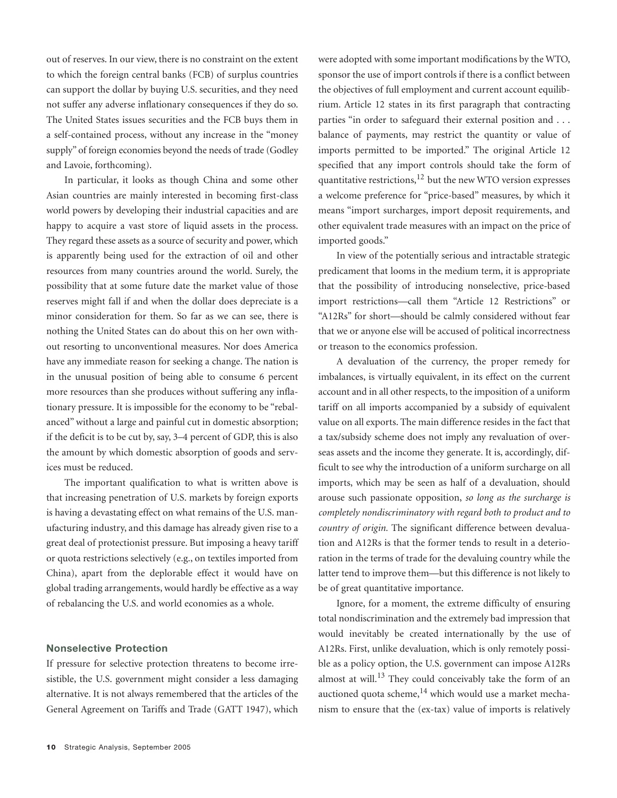out of reserves. In our view, there is no constraint on the extent to which the foreign central banks (FCB) of surplus countries can support the dollar by buying U.S. securities, and they need not suffer any adverse inflationary consequences if they do so. The United States issues securities and the FCB buys them in a self-contained process, without any increase in the "money supply" of foreign economies beyond the needs of trade (Godley and Lavoie, forthcoming).

In particular, it looks as though China and some other Asian countries are mainly interested in becoming first-class world powers by developing their industrial capacities and are happy to acquire a vast store of liquid assets in the process. They regard these assets as a source of security and power, which is apparently being used for the extraction of oil and other resources from many countries around the world. Surely, the possibility that at some future date the market value of those reserves might fall if and when the dollar does depreciate is a minor consideration for them. So far as we can see, there is nothing the United States can do about this on her own without resorting to unconventional measures. Nor does America have any immediate reason for seeking a change. The nation is in the unusual position of being able to consume 6 percent more resources than she produces without suffering any inflationary pressure. It is impossible for the economy to be "rebalanced" without a large and painful cut in domestic absorption; if the deficit is to be cut by, say, 3–4 percent of GDP, this is also the amount by which domestic absorption of goods and services must be reduced.

The important qualification to what is written above is that increasing penetration of U.S. markets by foreign exports is having a devastating effect on what remains of the U.S. manufacturing industry, and this damage has already given rise to a great deal of protectionist pressure. But imposing a heavy tariff or quota restrictions selectively (e.g., on textiles imported from China), apart from the deplorable effect it would have on global trading arrangements, would hardly be effective as a way of rebalancing the U.S. and world economies as a whole.

# **Nonselective Protection**

If pressure for selective protection threatens to become irresistible, the U.S. government might consider a less damaging alternative. It is not always remembered that the articles of the General Agreement on Tariffs and Trade (GATT 1947), which were adopted with some important modifications by the WTO, sponsor the use of import controls if there is a conflict between the objectives of full employment and current account equilibrium. Article 12 states in its first paragraph that contracting parties "in order to safeguard their external position and . . . balance of payments, may restrict the quantity or value of imports permitted to be imported." The original Article 12 specified that any import controls should take the form of quantitative restrictions, $^{12}$  but the new WTO version expresses a welcome preference for "price-based" measures, by which it means "import surcharges, import deposit requirements, and other equivalent trade measures with an impact on the price of imported goods."

In view of the potentially serious and intractable strategic predicament that looms in the medium term, it is appropriate that the possibility of introducing nonselective, price-based import restrictions—call them "Article 12 Restrictions" or "A12Rs" for short—should be calmly considered without fear that we or anyone else will be accused of political incorrectness or treason to the economics profession.

A devaluation of the currency, the proper remedy for imbalances, is virtually equivalent, in its effect on the current account and in all other respects, to the imposition of a uniform tariff on all imports accompanied by a subsidy of equivalent value on all exports. The main difference resides in the fact that a tax/subsidy scheme does not imply any revaluation of overseas assets and the income they generate. It is, accordingly, difficult to see why the introduction of a uniform surcharge on all imports, which may be seen as half of a devaluation, should arouse such passionate opposition, *so long as the surcharge is completely nondiscriminatory with regard both to product and to country of origin.* The significant difference between devaluation and A12Rs is that the former tends to result in a deterioration in the terms of trade for the devaluing country while the latter tend to improve them—but this difference is not likely to be of great quantitative importance.

Ignore, for a moment, the extreme difficulty of ensuring total nondiscrimination and the extremely bad impression that would inevitably be created internationally by the use of A12Rs. First, unlike devaluation, which is only remotely possible as a policy option, the U.S. government can impose A12Rs almost at will.<sup>13</sup> They could conceivably take the form of an auctioned quota scheme, $^{14}$  which would use a market mechanism to ensure that the (ex-tax) value of imports is relatively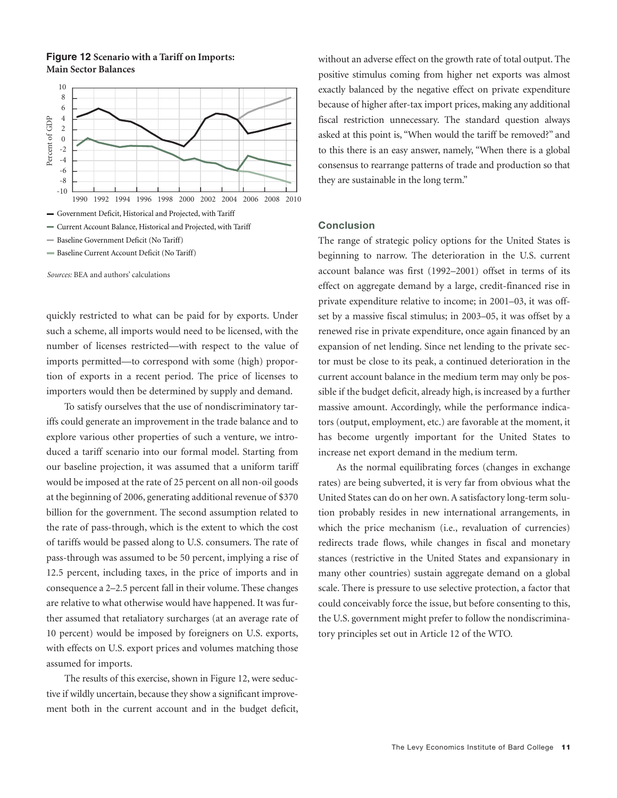**Figure 12 Scenario with a Tariff on Imports: Main Sector Balances**



- Baseline Current Account Deficit (No Tariff)

quickly restricted to what can be paid for by exports. Under such a scheme, all imports would need to be licensed, with the number of licenses restricted—with respect to the value of imports permitted—to correspond with some (high) proportion of exports in a recent period. The price of licenses to importers would then be determined by supply and demand.

To satisfy ourselves that the use of nondiscriminatory tariffs could generate an improvement in the trade balance and to explore various other properties of such a venture, we introduced a tariff scenario into our formal model. Starting from our baseline projection, it was assumed that a uniform tariff would be imposed at the rate of 25 percent on all non-oil goods at the beginning of 2006, generating additional revenue of \$370 billion for the government. The second assumption related to the rate of pass-through, which is the extent to which the cost of tariffs would be passed along to U.S. consumers. The rate of pass-through was assumed to be 50 percent, implying a rise of 12.5 percent, including taxes, in the price of imports and in consequence a 2–2.5 percent fall in their volume. These changes are relative to what otherwise would have happened. It was further assumed that retaliatory surcharges (at an average rate of 10 percent) would be imposed by foreigners on U.S. exports, with effects on U.S. export prices and volumes matching those assumed for imports.

The results of this exercise, shown in Figure 12, were seductive if wildly uncertain, because they show a significant improvement both in the current account and in the budget deficit, without an adverse effect on the growth rate of total output. The positive stimulus coming from higher net exports was almost exactly balanced by the negative effect on private expenditure because of higher after-tax import prices, making any additional fiscal restriction unnecessary. The standard question always asked at this point is, "When would the tariff be removed?" and to this there is an easy answer, namely, "When there is a global consensus to rearrange patterns of trade and production so that they are sustainable in the long term."

#### **Conclusion**

The range of strategic policy options for the United States is beginning to narrow. The deterioration in the U.S. current account balance was first (1992–2001) offset in terms of its effect on aggregate demand by a large, credit-financed rise in private expenditure relative to income; in 2001–03, it was offset by a massive fiscal stimulus; in 2003–05, it was offset by a renewed rise in private expenditure, once again financed by an expansion of net lending. Since net lending to the private sector must be close to its peak, a continued deterioration in the current account balance in the medium term may only be possible if the budget deficit, already high, is increased by a further massive amount. Accordingly, while the performance indicators (output, employment, etc.) are favorable at the moment, it has become urgently important for the United States to increase net export demand in the medium term.

As the normal equilibrating forces (changes in exchange rates) are being subverted, it is very far from obvious what the United States can do on her own. A satisfactory long-term solution probably resides in new international arrangements, in which the price mechanism (i.e., revaluation of currencies) redirects trade flows, while changes in fiscal and monetary stances (restrictive in the United States and expansionary in many other countries) sustain aggregate demand on a global scale. There is pressure to use selective protection, a factor that could conceivably force the issue, but before consenting to this, the U.S. government might prefer to follow the nondiscriminatory principles set out in Article 12 of the WTO.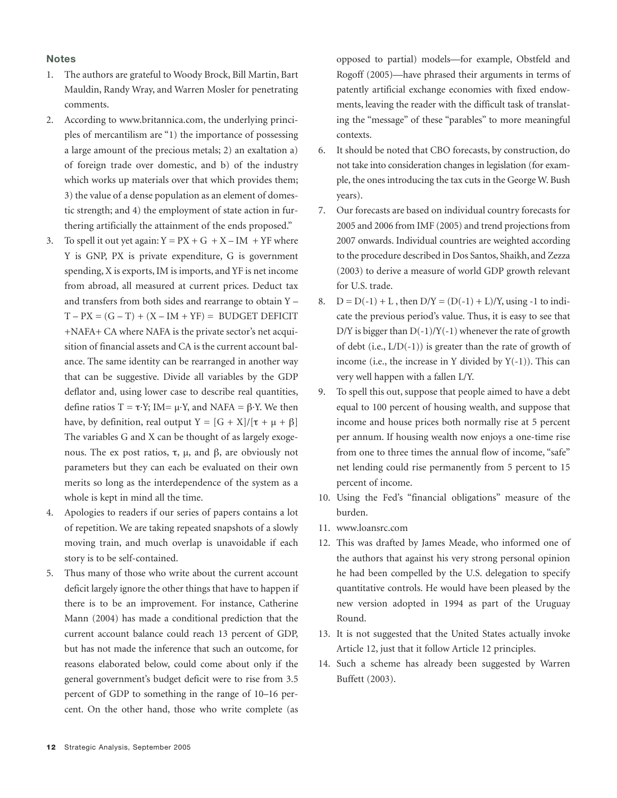#### **Notes**

- 1. The authors are grateful to Woody Brock, Bill Martin, Bart Mauldin, Randy Wray, and Warren Mosler for penetrating comments.
- 2. According to www.britannica.com, the underlying principles of mercantilism are "1) the importance of possessing a large amount of the precious metals; 2) an exaltation a) of foreign trade over domestic, and b) of the industry which works up materials over that which provides them; 3) the value of a dense population as an element of domestic strength; and 4) the employment of state action in furthering artificially the attainment of the ends proposed."
- 3. To spell it out yet again:  $Y = PX + G + X IM + YF$  where Y is GNP, PX is private expenditure, G is government spending, X is exports, IM is imports, and YF is net income from abroad, all measured at current prices. Deduct tax and transfers from both sides and rearrange to obtain Y –  $T - PX = (G - T) + (X - IM + YF) = BUDGET DEFICIT$ +NAFA+ CA where NAFA is the private sector's net acquisition of financial assets and CA is the current account balance. The same identity can be rearranged in another way that can be suggestive. Divide all variables by the GDP deflator and, using lower case to describe real quantities, define ratios T = τ·Y; IM=  $\mu$ ·Y, and NAFA = β·Y. We then have, by definition, real output  $Y = [G + X]/[\tau + \mu + \beta]$ The variables G and X can be thought of as largely exogenous. The ex post ratios,  $\tau$ ,  $\mu$ , and  $\beta$ , are obviously not parameters but they can each be evaluated on their own merits so long as the interdependence of the system as a whole is kept in mind all the time.
- 4. Apologies to readers if our series of papers contains a lot of repetition. We are taking repeated snapshots of a slowly moving train, and much overlap is unavoidable if each story is to be self-contained.
- 5. Thus many of those who write about the current account deficit largely ignore the other things that have to happen if there is to be an improvement. For instance, Catherine Mann (2004) has made a conditional prediction that the current account balance could reach 13 percent of GDP, but has not made the inference that such an outcome, for reasons elaborated below, could come about only if the general government's budget deficit were to rise from 3.5 percent of GDP to something in the range of 10–16 percent. On the other hand, those who write complete (as

opposed to partial) models—for example, Obstfeld and Rogoff (2005)—have phrased their arguments in terms of patently artificial exchange economies with fixed endowments, leaving the reader with the difficult task of translating the "message" of these "parables" to more meaningful contexts.

- 6. It should be noted that CBO forecasts, by construction, do not take into consideration changes in legislation (for example, the ones introducing the tax cuts in the George W. Bush years).
- 7. Our forecasts are based on individual country forecasts for 2005 and 2006 from IMF (2005) and trend projections from 2007 onwards. Individual countries are weighted according to the procedure described in Dos Santos, Shaikh, and Zezza (2003) to derive a measure of world GDP growth relevant for U.S. trade.
- 8.  $D = D(-1) + L$ , then  $D/Y = (D(-1) + L)/Y$ , using -1 to indicate the previous period's value. Thus, it is easy to see that D/Y is bigger than  $D(-1)/Y(-1)$  whenever the rate of growth of debt (i.e.,  $L/D(-1)$ ) is greater than the rate of growth of income (i.e., the increase in Y divided by  $Y(-1)$ ). This can very well happen with a fallen L/Y.
- 9. To spell this out, suppose that people aimed to have a debt equal to 100 percent of housing wealth, and suppose that income and house prices both normally rise at 5 percent per annum. If housing wealth now enjoys a one-time rise from one to three times the annual flow of income, "safe" net lending could rise permanently from 5 percent to 15 percent of income.
- 10. Using the Fed's "financial obligations" measure of the burden.
- 11. www.loansrc.com
- 12. This was drafted by James Meade, who informed one of the authors that against his very strong personal opinion he had been compelled by the U.S. delegation to specify quantitative controls. He would have been pleased by the new version adopted in 1994 as part of the Uruguay Round.
- 13. It is not suggested that the United States actually invoke Article 12, just that it follow Article 12 principles.
- 14. Such a scheme has already been suggested by Warren Buffett (2003).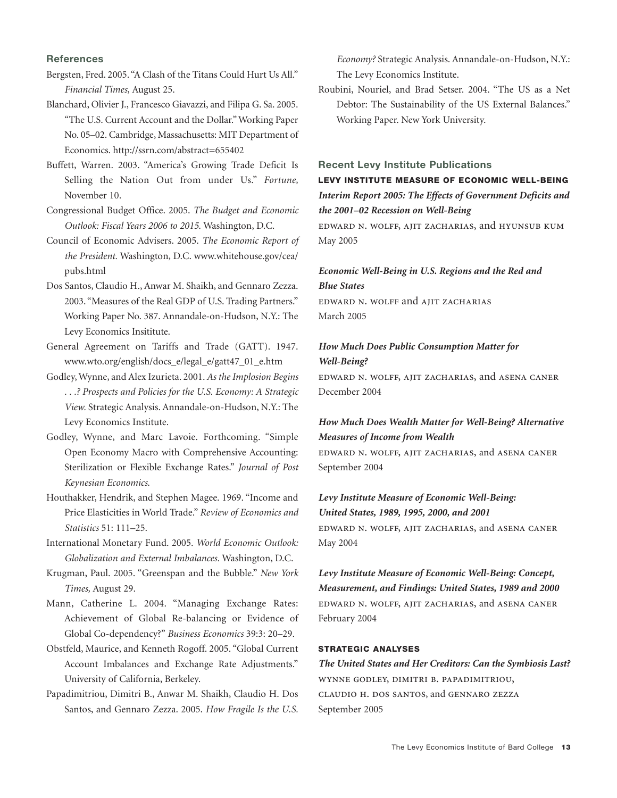#### **References**

- Bergsten, Fred. 2005. "A Clash of the Titans Could Hurt Us All." *Financial Times,* August 25.
- Blanchard, Olivier J., Francesco Giavazzi, and Filipa G. Sa. 2005. "The U.S. Current Account and the Dollar." Working Paper No. 05–02. Cambridge, Massachusetts: MIT Department of Economics. http://ssrn.com/abstract=655402
- Buffett, Warren. 2003. "America's Growing Trade Deficit Is Selling the Nation Out from under Us." *Fortune,* November 10.
- Congressional Budget Office. 2005. *The Budget and Economic Outlook: Fiscal Years 2006 to 2015.* Washington, D.C.
- Council of Economic Advisers. 2005. *The Economic Report of the President.* Washington, D.C. www.whitehouse.gov/cea/ pubs.html
- Dos Santos, Claudio H., Anwar M. Shaikh, and Gennaro Zezza. 2003. "Measures of the Real GDP of U.S. Trading Partners." Working Paper No. 387. Annandale-on-Hudson, N.Y.: The Levy Economics Insititute.
- General Agreement on Tariffs and Trade (GATT). 1947. www.wto.org/english/docs\_e/legal\_e/gatt47\_01\_e.htm
- Godley, Wynne, and Alex Izurieta. 2001. *As the Implosion Begins . . .? Prospects and Policies for the U.S. Economy: A Strategic View.* Strategic Analysis. Annandale-on-Hudson, N.Y.: The Levy Economics Institute.
- Godley, Wynne, and Marc Lavoie. Forthcoming. "Simple Open Economy Macro with Comprehensive Accounting: Sterilization or Flexible Exchange Rates." *Journal of Post Keynesian Economics*.
- Houthakker, Hendrik, and Stephen Magee. 1969. "Income and Price Elasticities in World Trade." *Review of Economics and Statistics* 51: 111–25.
- International Monetary Fund. 2005. *World Economic Outlook: Globalization and External Imbalances.* Washington, D.C.
- Krugman, Paul. 2005. "Greenspan and the Bubble." *New York Times,* August 29.
- Mann, Catherine L. 2004. "Managing Exchange Rates: Achievement of Global Re-balancing or Evidence of Global Co-dependency?" *Business Economics* 39:3: 20–29.
- Obstfeld, Maurice, and Kenneth Rogoff. 2005. "Global Current Account Imbalances and Exchange Rate Adjustments." University of California, Berkeley.
- Papadimitriou, Dimitri B., Anwar M. Shaikh, Claudio H. Dos Santos, and Gennaro Zezza. 2005. *How Fragile Is the U.S.*

*Economy?* Strategic Analysis. Annandale-on-Hudson, N.Y.: The Levy Economics Institute.

Roubini, Nouriel, and Brad Setser. 2004. "The US as a Net Debtor: The Sustainability of the US External Balances." Working Paper. New York University.

# **Recent Levy Institute Publications**

# **LEVY INSTITUTE MEASURE OF ECONOMIC WELL-BEING** *Interim Report 2005: The Effects of Government Deficits and the 2001–02 Recession on Well-Being*

edward n. wolff, ajit zacharias, and hyunsub kum May 2005

# *Economic Well-Being in U.S. Regions and the Red and Blue States*

edward n. wolff and ajit zacharias March 2005

# *How Much Does Public Consumption Matter for Well-Being?*

edward n. wolff, ajit zacharias, and asena caner December 2004

# *How Much Does Wealth Matter for Well-Being? Alternative Measures of Income from Wealth*

edward n. wolff, ajit zacharias, and asena caner September 2004

# *Levy Institute Measure of Economic Well-Being:*

*United States, 1989, 1995, 2000, and 2001* edward n. wolff, ajit zacharias, and asena caner May 2004

*Levy Institute Measure of Economic Well-Being: Concept, Measurement, and Findings: United States, 1989 and 2000* edward n. wolff, ajit zacharias, and asena caner February 2004

### **STRATEGIC ANALYSES**

# *The United States and Her Creditors: Can the Symbiosis Last?* wynne godley, dimitri b. papadimitriou, claudio h. dos santos, and gennaro zezza September 2005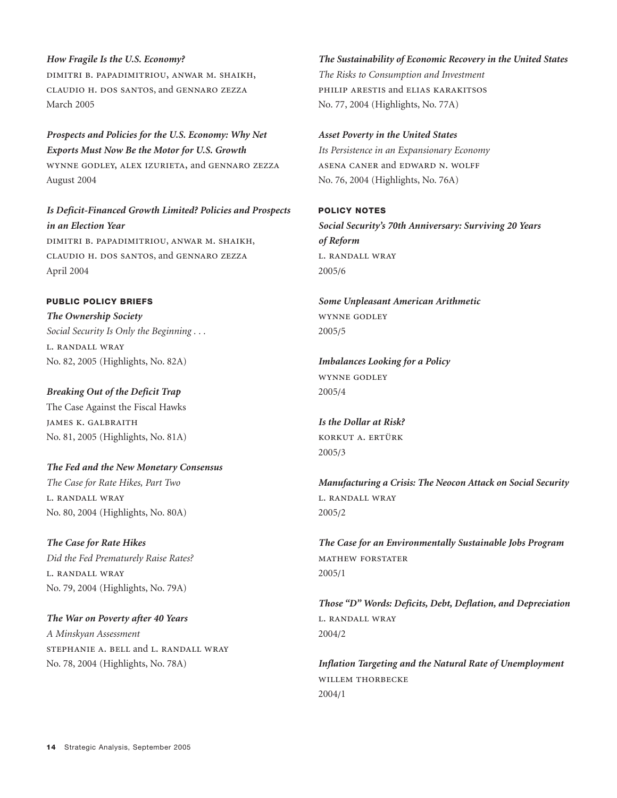### *How Fragile Is the U.S. Economy?*

dimitri b. papadimitriou, anwar m. shaikh, claudio h. dos santos, and gennaro zezza March 2005

*Prospects and Policies for the U.S. Economy: Why Net Exports Must Now Be the Motor for U.S. Growth* wynne godley, alex izurieta, and gennaro zezza August 2004

*Is Deficit-Financed Growth Limited? Policies and Prospects in an Election Year* dimitri b. papadimitriou, anwar m. shaikh, claudio h. dos santos, and gennaro zezza April 2004

# **PUBLIC POLICY BRIEFS**

*The Ownership Society Social Security Is Only the Beginning . . .* l. randall wray No. 82, 2005 (Highlights, No. 82A)

## *Breaking Out of the Deficit Trap*

The Case Against the Fiscal Hawks james k. galbraith No. 81, 2005 (Highlights, No. 81A)

*The Fed and the New Monetary Consensus The Case for Rate Hikes, Part Two* l. randall wray No. 80, 2004 (Highlights, No. 80A)

# *The Case for Rate Hikes*

*Did the Fed Prematurely Raise Rates?* l. randall wray No. 79, 2004 (Highlights, No. 79A)

*The War on Poverty after 40 Years A Minskyan Assessment* stephanie a. bell and l. randall wray No. 78, 2004 (Highlights, No. 78A)

#### *The Sustainability of Economic Recovery in the United States*

*The Risks to Consumption and Investment* philip arestis and elias karakitsos No. 77, 2004 (Highlights, No. 77A)

#### *Asset Poverty in the United States*

*Its Persistence in an Expansionary Economy* asena caner and edward n. wolff No. 76, 2004 (Highlights, No. 76A)

# **POLICY NOTES**

*Social Security's 70th Anniversary: Surviving 20 Years of Reform* l. randall wray 2005/6

*Some Unpleasant American Arithmetic* wynne godley 2005/5

*Imbalances Looking for a Policy* wynne godley 2005/4

*Is the Dollar at Risk?* korkut a. ertürk 2005/3

*Manufacturing a Crisis: The Neocon Attack on Social Security* l. randall wray 2005/2

*The Case for an Environmentally Sustainable Jobs Program* mathew forstater 2005/1

*Those "D" Words: Deficits, Debt, Deflation, and Depreciation* l. randall wray 2004/2

*Inflation Targeting and the Natural Rate of Unemployment* WILLEM THORBECKE 2004/1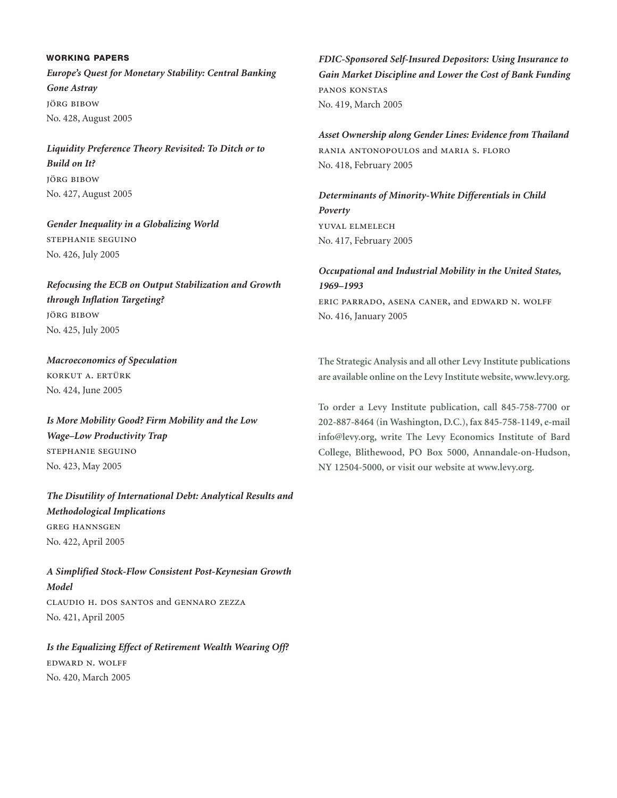# **WORKING PAPERS** *Europe's Quest for Monetary Stability: Central Banking Gone Astray* jörg bibow No. 428, August 2005

*Liquidity Preference Theory Revisited: To Ditch or to Build on It?* jörg bibow No. 427, August 2005

*Gender Inequality in a Globalizing World* stephanie seguino No. 426, July 2005

*Refocusing the ECB on Output Stabilization and Growth through Inflation Targeting?* jörg bibow No. 425, July 2005

*Macroeconomics of Speculation* korkut a. ertürk No. 424, June 2005

*Is More Mobility Good? Firm Mobility and the Low Wage–Low Productivity Trap* stephanie seguino No. 423, May 2005

*The Disutility of International Debt: Analytical Results and Methodological Implications* greg hannsgen No. 422, April 2005

*A Simplified Stock-Flow Consistent Post-Keynesian Growth Model* claudio h. dos santos and gennaro zezza No. 421, April 2005

*Is the Equalizing Effect of Retirement Wealth Wearing Off?* edward n. wolff No. 420, March 2005

*FDIC-Sponsored Self-Insured Depositors: Using Insurance to Gain Market Discipline and Lower the Cost of Bank Funding* panos konstas No. 419, March 2005

*Asset Ownership along Gender Lines: Evidence from Thailand* rania antonopoulos and maria s. floro No. 418, February 2005

*Determinants of Minority-White Differentials in Child Poverty* yuval elmelech No. 417, February 2005

*Occupational and Industrial Mobility in the United States, 1969–1993* eric parrado, asena caner, and edward n. wolff No. 416, January 2005

**The Strategic Analysis and all other Levy Institute publications are available online on the Levy Institute website, www.levy.org.**

**To order a Levy Institute publication, call 845-758-7700 or 202-887-8464 (in Washington, D.C.), fax 845-758-1149, e-mail info@levy.org, write The Levy Economics Institute of Bard College, Blithewood, PO Box 5000, Annandale-on-Hudson, NY 12504-5000, or visit our website at www.levy.org.**